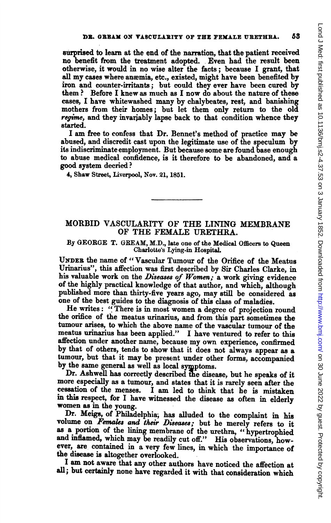surprised to learn at the end of the narration, that the patient received no benefit from the treatment adopted. Even had the result been otherwise, it would in no wise alter the facts; because I grant, that all my cases where anemia, etc., existed, might have been benefited by iron and counter-irritants; but could they ever have been cured by them ? Before <sup>I</sup> knew as much as I now do about the nature of these cases, I have whitewashed many by chalybeates, rest, and banishing mothers from their homes; but let them only return to the old regime, and they invariably lapse back to that condition whence they started.

<sup>I</sup> am free to confess that Dr. Bennet's method of practice may be abused, and discredit cast upon the legitimate use of the speculum by its indiscriminate employment. But because some are found base enough to abuse medical confidence, is it therefore to be abandoned, and a good system decried?

4, Shaw Street, Liverpool, Nov. 21, 1851.

## MORBID VASCULARITY OF THE LINING MEMBRANE OF THE FEMALE URETHRA.

## By GEORGE T. GREAM, M.D., late one of the Medical Officers to Queen Charlotte's Lying-in HospitaL

UNDER the name of " Vascular Tumour of the Orifice of the Meatus Urinarius", this affection was first described by Sir Charles Clarke, in his valuable work on the Diseases of Women; a work giving evidence of the highly practical knowledge of that author, and which, although published more than thirty-five years ago, may still be considered as one of the best guides to the diagnosis of this class of maladies.

He writes: "There is in most women <sup>a</sup> degree of projection round the orifice of the meatus urinarius, and from this part sometimes the tumour arises, to which the above name of the vascular tumour of the meatus urinarius has been applied." I have ventured to refer to this affection under another name, because my own experience, confirmed by that of others, tends to show that it does not always appear as a tumour, but that it may be present under other forms, accompanied by the same general as well as local symptoms.

Dr. Ashwell has correctly described the disease, but he speaks of it more especially as <sup>a</sup> tumour, and states that it is rarely seen after the cesation of the menses. <sup>I</sup> am led to think that he is mistaken in this respect, for <sup>I</sup> have witnessed the disease as often in elderly

women as in the young.<br>Dr. Meigs, of Philadelphia; has alluded to the complaint in his volume on Females and their Diseases; but he merely refers to it as a portion of the lining membrane of the urethra, "hypertrophied and inflamed, which may be readily cut off." His observations, however, are contained in a very few lines, in which the importance of the disease is altogether overlooked.

<sup>I</sup> am not aware that any other authors have noticed the affection at all; but certainly none have regarded it with that consideration which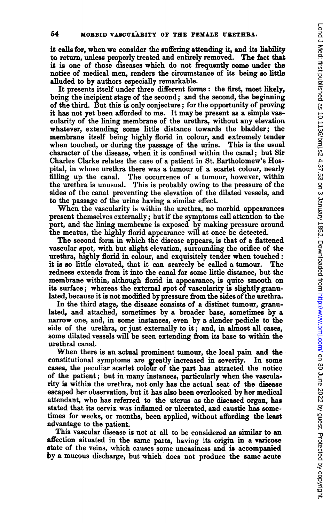it calls for, when we consider the suffering attending it, and its liability to return, unless properly treated and entirely removed, The fact that it is one of those diseases which do not frequently come under the notice of medical men, renders the circumstance of its being so little alluded to by authors especially remarkable.

It presents itself under three different forms: the first, most likely, being the incipient stage of the second; and the second, the beginning of the third. But this is only conjecture; for the opportunity of proving it has not yet been afforded to me. It may be present as a simple vascularity of the lining membrane of the urethra, without any elevation whatever, extending some little distance towards the bladder; the membrane itself being highly florid in colour, and extremely tender when touched, or during the passage of the urine. This is the usual character of the disease, when it is confined within the canal; but Sir Charles Clarke relates the case of a patient in St. Bartholomew's Hospital, in whose urethra there was a tumour of a scarlet colour, nearly filling up the canal. The occurrence of a tumour, however, within the urethra is unusual. This is probably owing to the pressure of the sides of the canal preventing the elevation of the dilated vessels, and to the passage of the urine having a similar effect.

When the vascularity is within the urethra, no morbid appearances present themselves externally; but if the symptoms call attention to the part, and the lining membrane is exposed by making pressure around the meatus, the highly florid appearance will at once be detected.

The second form in which the disease appears, is that of a flattened vascular spot, with but slight elevation, surrounding the orifice of the urethra, highly florid in colour, and exquisitely tender when touched: it is so little elevated, that it can scarcely be called a tumour. The redness extends from it into the canal for some little distance, but the membrane within, although florid in appearance, is quite smooth on its surface; whereas the external spot of vascularity is slightly granulated, because it is not modified bypressure from the sides of the urethra.

In the third stage, the disease consists of a distinct tumour, granulated, and attached, sometimes by a broader base, sometimes by a narrow one, and, in some instances, even by a slender pedicle to the side of the urethra, or just externally to it; and, in almost all cases, some dilated vessels will be seen extending from its base to within the urethral canal.

When there is an actual prominent tumour, the local pain and the constitutional symptoms are greatly increased in severity. In some eases, the peculiar scarlet colour of the part has attracted the notice of the patient; but in many instances, particularly when the vascularity is within the urethra, not only has the actual seat of the disease escaped her observation, but it has also been overlooked by her medical attendant, who has referred to the uterus as the diseased organ, has stated that its cervix was inflamed or ulcerated, and caustic has sometimes for weeks, or months, been applied, without affording the least advantage to the patient.

This vascular disease is not at all to be considered as similar to an affection situated in the same parts, having its origin in a varicose state of the veins, which causes some uneasiness and is accompanied by a mucous discharge, but which does not produce the same acute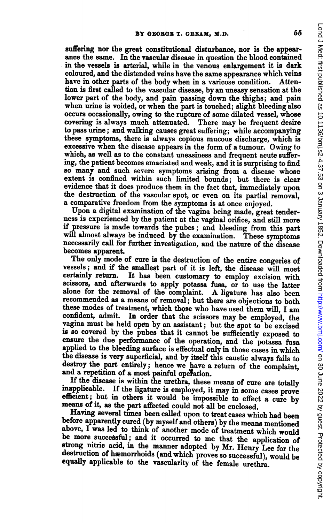suffering nor the great constitutional disturbance, nor is the appearance the same. In the vascular disease in question the blood contained in the vessels is arterial, while in the venous enlargement it is dark coloured, and the distended veins have the same appearance which veins have in other parts of the body when in <sup>a</sup> varicose condition. Atten tion is first called to the vascular disease, by an uneasy sensation at the lower part of the body, and pain passing down the thighs; and pain when urine is voided, or when the part is touched; slight bleeding also occurs occasionally, owing to the rupture of some dilated vessel, whose covering is always much attenuated. There may be frequent desire to pass urine; and walking causes great suffering; while accompanying these symptoms, there is always copious mucous discharge, which is excessive when the disease appears in the form of a tumour. Owing to which, as well as to the constant uneasiness and frequent acute suffering, the patient becomes emaciated and weak, and it is surprising to find so many and such severe symptoms arising from <sup>a</sup> disease whose extent is confined within such limited bounds; but there is clear evidence that it does produce them in the fact that, immediately upon the destruction of the vascular spot, or even on its partial removal, a comparative freedom from the symptoms is at once enjoyed.

Upon <sup>a</sup> digital examination of the vagina being made, great tenderness is experienced by the patient at the vaginal orifice, and still more if pressure is made towards the pubes; and bleeding from this part will almost always be induced by the examination. These symptoms necessarily call for further investigation, and the nature of the disease becomes apparent.

The only mode of cure is the destruction of the entire congeries of vessels; and if the smallest part of it is left, the disease will most certainly return. It has been customary to employ excision with It has been customary to employ excision with scissors, and afterwards to apply potassa fusa, or to use the latter alone for the removal of the complaint. A ligature has also been recommended as a means of removal; but there are objections to both these modes of treatment, which those who have used them will, I am<br>confident, admit. In order that the scissors may be employed the In order that the scissors may be employed, the vagina must be held open by an assistant; but the spot to be excised is so covered by the pubes that it cannot be sufficiently exposed to ensure the due performance of the operation, and the potassa fusa applied to the bleeding surface is effectual only in those cases in which the disease is very superficial, and by itself this caustic always fails to destroy the part entirely; hence we have a return of the complaint, and a repetition of a most painful operation.

If the disease is within the urethra, these means of cure are totally inapplicable. If the ligature is employed, it may in some cases prove efficient; but in others it would be impossible to effect a cure by means of it, as the part affected could not all be enclosed.

Having several times been called upon to treat cases which had been before apparently cured (by myself and others) by the means mentioned above, I was led to think of another mode of treatment which would be more successful; and it occurred to me that the application of strong nitric acid, in the manner adopted by Mr. Henry Lee for the destruction of hemorrhoids (and which proves so successful), would be equally applicable to the vascularity of the female urethra.

55